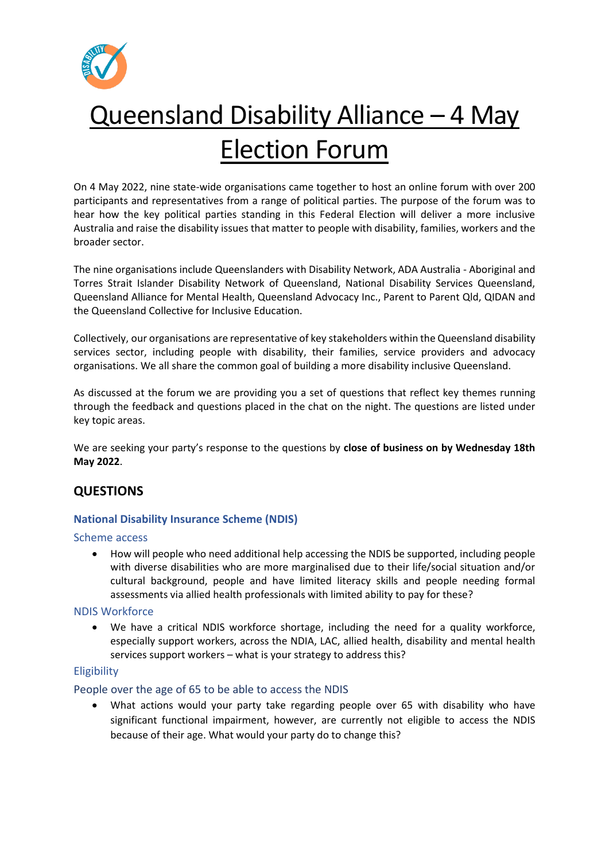

# Queensland Disability Alliance – 4 May Election Forum

On 4 May 2022, nine state-wide organisations came together to host an online forum with over 200 participants and representatives from a range of political parties. The purpose of the forum was to hear how the key political parties standing in this Federal Election will deliver a more inclusive Australia and raise the disability issues that matter to people with disability, families, workers and the broader sector.

The nine organisations include Queenslanders with Disability Network, ADA Australia - Aboriginal and Torres Strait Islander Disability Network of Queensland, National Disability Services Queensland, Queensland Alliance for Mental Health, Queensland Advocacy Inc., Parent to Parent Qld, QIDAN and the Queensland Collective for Inclusive Education.

Collectively, our organisations are representative of key stakeholders within the Queensland disability services sector, including people with disability, their families, service providers and advocacy organisations. We all share the common goal of building a more disability inclusive Queensland.

As discussed at the forum we are providing you a set of questions that reflect key themes running through the feedback and questions placed in the chat on the night. The questions are listed under key topic areas.

We are seeking your party's response to the questions by **close of business on by Wednesday 18th May 2022**.

## **QUESTIONS**

## **National Disability Insurance Scheme (NDIS)**

## Scheme access

• How will people who need additional help accessing the NDIS be supported, including people with diverse disabilities who are more marginalised due to their life/social situation and/or cultural background, people and have limited literacy skills and people needing formal assessments via allied health professionals with limited ability to pay for these?

## NDIS Workforce

We have a critical NDIS workforce shortage, including the need for a quality workforce, especially support workers, across the NDIA, LAC, allied health, disability and mental health services support workers – what is your strategy to address this?

## Eligibility

## People over the age of 65 to be able to access the NDIS

• What actions would your party take regarding people over 65 with disability who have significant functional impairment, however, are currently not eligible to access the NDIS because of their age. What would your party do to change this?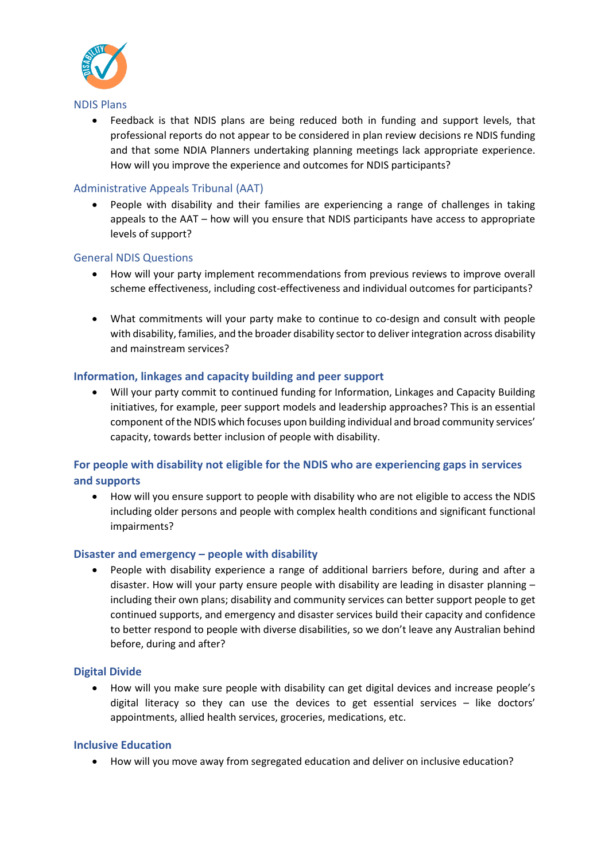

#### NDIS Plans

• Feedback is that NDIS plans are being reduced both in funding and support levels, that professional reports do not appear to be considered in plan review decisions re NDIS funding and that some NDIA Planners undertaking planning meetings lack appropriate experience. How will you improve the experience and outcomes for NDIS participants?

## Administrative Appeals Tribunal (AAT)

• People with disability and their families are experiencing a range of challenges in taking appeals to the AAT – how will you ensure that NDIS participants have access to appropriate levels of support?

## General NDIS Questions

- How will your party implement recommendations from previous reviews to improve overall scheme effectiveness, including cost-effectiveness and individual outcomes for participants?
- What commitments will your party make to continue to co-design and consult with people with disability, families, and the broader disability sector to deliver integration across disability and mainstream services?

#### **Information, linkages and capacity building and peer support**

• Will your party commit to continued funding for Information, Linkages and Capacity Building initiatives, for example, peer support models and leadership approaches? This is an essential component of the NDIS which focuses upon building individual and broad community services' capacity, towards better inclusion of people with disability.

## **For people with disability not eligible for the NDIS who are experiencing gaps in services and supports**

• How will you ensure support to people with disability who are not eligible to access the NDIS including older persons and people with complex health conditions and significant functional impairments?

#### **Disaster and emergency – people with disability**

• People with disability experience a range of additional barriers before, during and after a disaster. How will your party ensure people with disability are leading in disaster planning – including their own plans; disability and community services can better support people to get continued supports, and emergency and disaster services build their capacity and confidence to better respond to people with diverse disabilities, so we don't leave any Australian behind before, during and after?

#### **Digital Divide**

• How will you make sure people with disability can get digital devices and increase people's digital literacy so they can use the devices to get essential services – like doctors' appointments, allied health services, groceries, medications, etc.

#### **Inclusive Education**

• How will you move away from segregated education and deliver on inclusive education?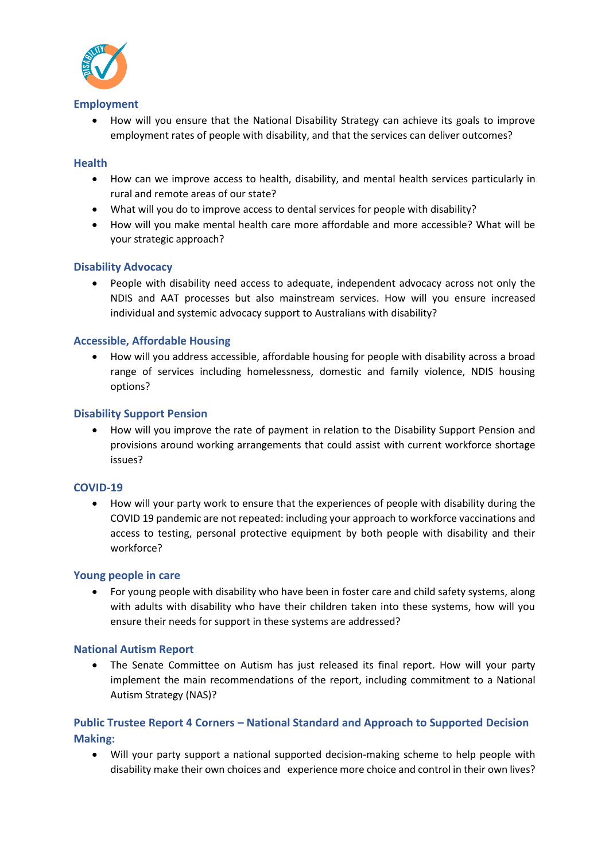

#### **Employment**

• How will you ensure that the National Disability Strategy can achieve its goals to improve employment rates of people with disability, and that the services can deliver outcomes?

#### **Health**

- How can we improve access to health, disability, and mental health services particularly in rural and remote areas of our state?
- What will you do to improve access to dental services for people with disability?
- How will you make mental health care more affordable and more accessible? What will be your strategic approach?

#### **Disability Advocacy**

• People with disability need access to adequate, independent advocacy across not only the NDIS and AAT processes but also mainstream services. How will you ensure increased individual and systemic advocacy support to Australians with disability?

#### **Accessible, Affordable Housing**

• How will you address accessible, affordable housing for people with disability across a broad range of services including homelessness, domestic and family violence, NDIS housing options?

#### **Disability Support Pension**

• How will you improve the rate of payment in relation to the Disability Support Pension and provisions around working arrangements that could assist with current workforce shortage issues?

#### **COVID-19**

• How will your party work to ensure that the experiences of people with disability during the COVID 19 pandemic are not repeated: including your approach to workforce vaccinations and access to testing, personal protective equipment by both people with disability and their workforce?

#### **Young people in care**

• For young people with disability who have been in foster care and child safety systems, along with adults with disability who have their children taken into these systems, how will you ensure their needs for support in these systems are addressed?

#### **National Autism Report**

• The Senate Committee on Autism has just released its final report. How will your party implement the main recommendations of the report, including commitment to a National Autism Strategy (NAS)?

## **Public Trustee Report 4 Corners – National Standard and Approach to Supported Decision Making:**

• Will your party support a national supported decision-making scheme to help people with disability make their own choices and experience more choice and control in their own lives?